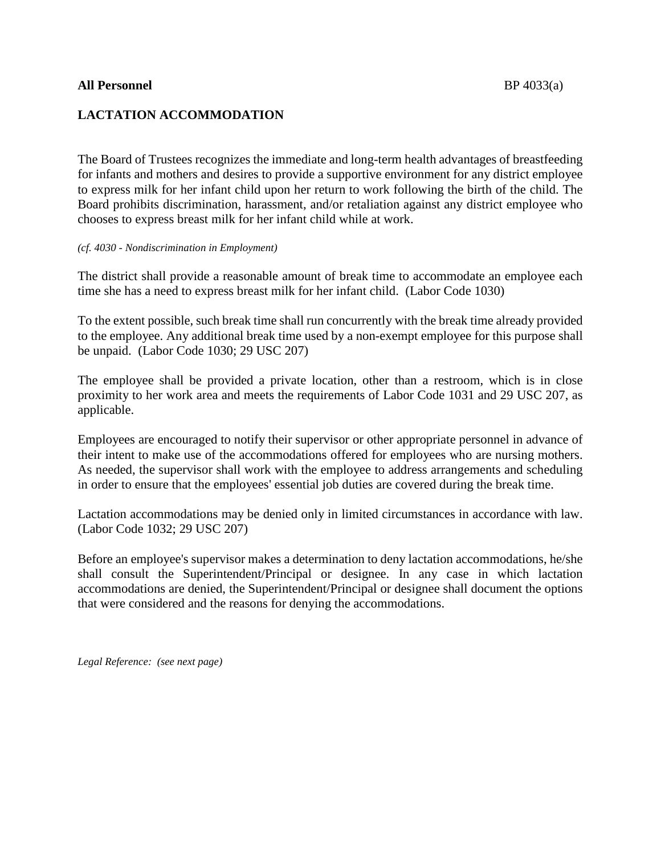## **All Personnel** BP 4033(a)

## **LACTATION ACCOMMODATION**

The Board of Trustees recognizes the immediate and long-term health advantages of breastfeeding for infants and mothers and desires to provide a supportive environment for any district employee to express milk for her infant child upon her return to work following the birth of the child. The Board prohibits discrimination, harassment, and/or retaliation against any district employee who chooses to express breast milk for her infant child while at work.

## *(cf. 4030 - Nondiscrimination in Employment)*

The district shall provide a reasonable amount of break time to accommodate an employee each time she has a need to express breast milk for her infant child. (Labor Code 1030)

To the extent possible, such break time shall run concurrently with the break time already provided to the employee. Any additional break time used by a non-exempt employee for this purpose shall be unpaid. (Labor Code 1030; 29 USC 207)

The employee shall be provided a private location, other than a restroom, which is in close proximity to her work area and meets the requirements of Labor Code 1031 and 29 USC 207, as applicable.

Employees are encouraged to notify their supervisor or other appropriate personnel in advance of their intent to make use of the accommodations offered for employees who are nursing mothers. As needed, the supervisor shall work with the employee to address arrangements and scheduling in order to ensure that the employees' essential job duties are covered during the break time.

Lactation accommodations may be denied only in limited circumstances in accordance with law. (Labor Code 1032; 29 USC 207)

Before an employee's supervisor makes a determination to deny lactation accommodations, he/she shall consult the Superintendent/Principal or designee. In any case in which lactation accommodations are denied, the Superintendent/Principal or designee shall document the options that were considered and the reasons for denying the accommodations.

*Legal Reference: (see next page)*